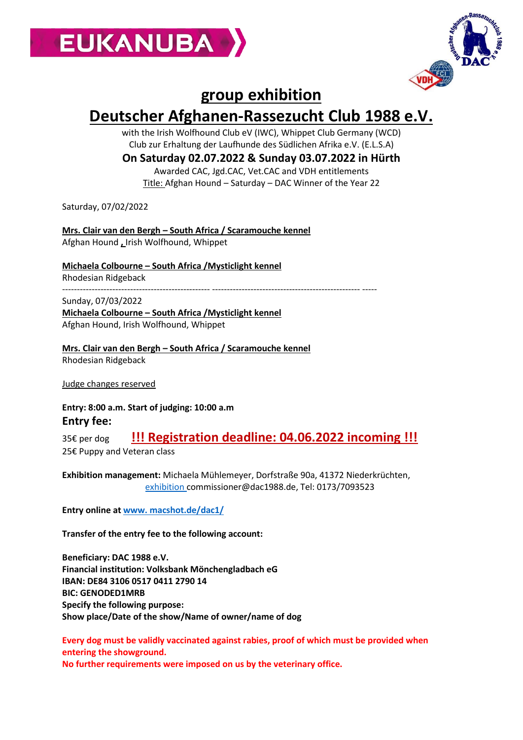



## **group exhibition**

## **Deutscher Afghanen-Rassezucht Club 1988 e.V.**

with the Irish Wolfhound Club eV (IWC), Whippet Club Germany (WCD) Club zur Erhaltung der Laufhunde des Südlichen Afrika e.V. (E.L.S.A)

## **On Saturday 02.07.2022 & Sunday 03.07.2022 in Hürth**

Awarded CAC, Jgd.CAC, Vet.CAC and VDH entitlements Title: Afghan Hound – Saturday – DAC Winner of the Year 22

Saturday, 07/02/2022

**Mrs. Clair van den Bergh – South Africa / Scaramouche kennel** Afghan Hound **,** Irish Wolfhound, Whippet

**Michaela Colbourne – South Africa /Mysticlight kennel** Rhodesian Ridgeback -------------------------------------------------- -------------------------------------------------- -----

Sunday, 07/03/2022 **Michaela Colbourne – South Africa /Mysticlight kennel**

Afghan Hound, Irish Wolfhound, Whippet

**Mrs. Clair van den Bergh – South Africa / Scaramouche kennel** Rhodesian Ridgeback

Judge changes reserved

**Entry: 8:00 a.m. Start of judging: 10:00 a.m Entry fee:** 

35€ per dog **!!! Registration deadline: 04.06.2022 incoming !!!** 25€ Puppy and Veteran class

**Exhibition management:** Michaela Mühlemeyer, Dorfstraße 90a, 41372 Niederkrüchten, [exhibition c](mailto:ausstellungsbeauftragte@dac1988.de)ommissioner@dac1988.de, Tel: 0173/7093523

**Entry online a[t www. macshot.de/dac1/](http://www.macshot.de/dac1/)**

**Transfer of the entry fee to the following account:**

**Beneficiary: DAC 1988 e.V. Financial institution: Volksbank Mönchengladbach eG IBAN: DE84 3106 0517 0411 2790 14 BIC: GENODED1MRB Specify the following purpose: Show place/Date of the show/Name of owner/name of dog**

**Every dog must be validly vaccinated against rabies, proof of which must be provided when entering the showground. No further requirements were imposed on us by the veterinary office.**